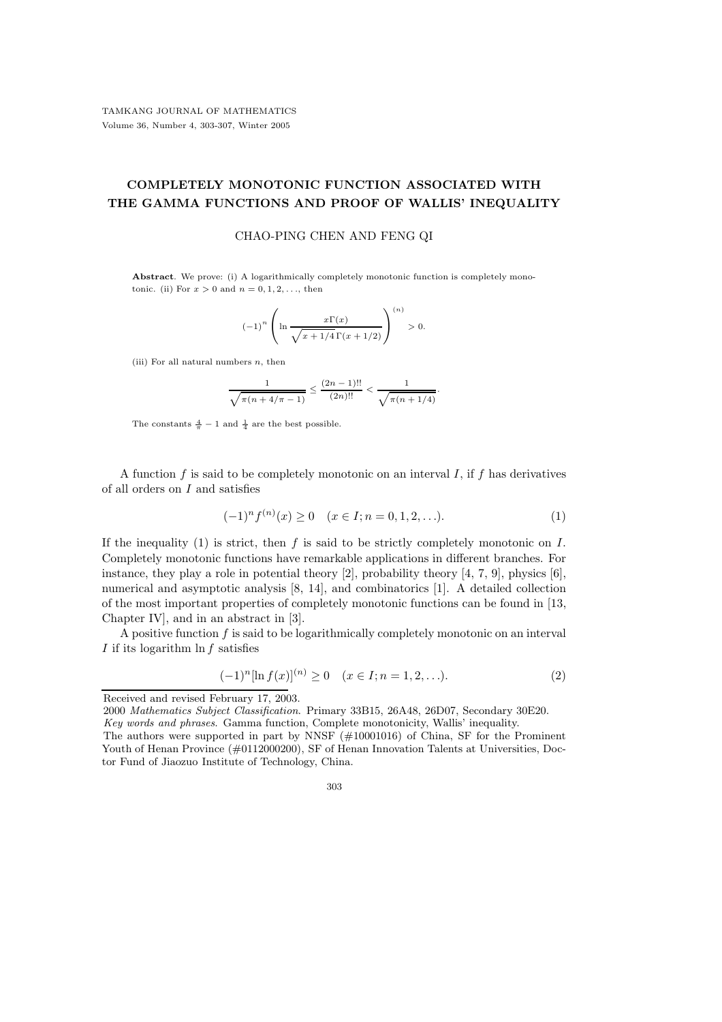## COMPLETELY MONOTONIC FUNCTION ASSOCIATED WITH THE GAMMA FUNCTIONS AND PROOF OF WALLIS' INEQUALITY

## CHAO-PING CHEN AND FENG QI

Abstract. We prove: (i) A logarithmically completely monotonic function is completely monotonic. (ii) For  $x > 0$  and  $n = 0, 1, 2, \ldots$ , then

$$
(-1)^n \left( \ln \frac{x \Gamma(x)}{\sqrt{x + 1/4} \Gamma(x + 1/2)} \right)^{(n)} > 0.
$$

(iii) For all natural numbers  $n$ , then

$$
\frac{1}{\sqrt{\pi(n+4/\pi-1)}} \le \frac{(2n-1)!!}{(2n)!!} < \frac{1}{\sqrt{\pi(n+1/4)}}.
$$

The constants  $\frac{4}{\pi} - 1$  and  $\frac{1}{4}$  are the best possible.

A function  $f$  is said to be completely monotonic on an interval  $I$ , if  $f$  has derivatives of all orders on  $I$  and satisfies

$$
(-1)^n f^{(n)}(x) \ge 0 \quad (x \in I; n = 0, 1, 2, \ldots). \tag{1}
$$

If the inequality (1) is strict, then  $f$  is said to be strictly completely monotonic on  $I$ . Completely monotonic functions have remarkable applications in different branches. For instance, they play a role in potential theory  $[2]$ , probability theory  $[4, 7, 9]$ , physics  $[6]$ , numerical and asymptotic analysis [8, 14], and combinatorics [1]. A detailed collection of the most important properties of completely monotonic functions can be found in [13, Chapter IV], and in an abstract in [3].

A positive function f is said to be logarithmically completely monotonic on an interval I if its logarithm  $\ln f$  satisfies

$$
(-1)^{n}[\ln f(x)]^{(n)} \ge 0 \quad (x \in I; n = 1, 2, ...). \tag{2}
$$

2000 Mathematics Subject Classification. Primary 33B15, 26A48, 26D07, Secondary 30E20.

Key words and phrases. Gamma function, Complete monotonicity, Wallis' inequality.

Received and revised February 17, 2003.

The authors were supported in part by NNSF (#10001016) of China, SF for the Prominent Youth of Henan Province (#0112000200), SF of Henan Innovation Talents at Universities, Doctor Fund of Jiaozuo Institute of Technology, China.

<sup>303</sup>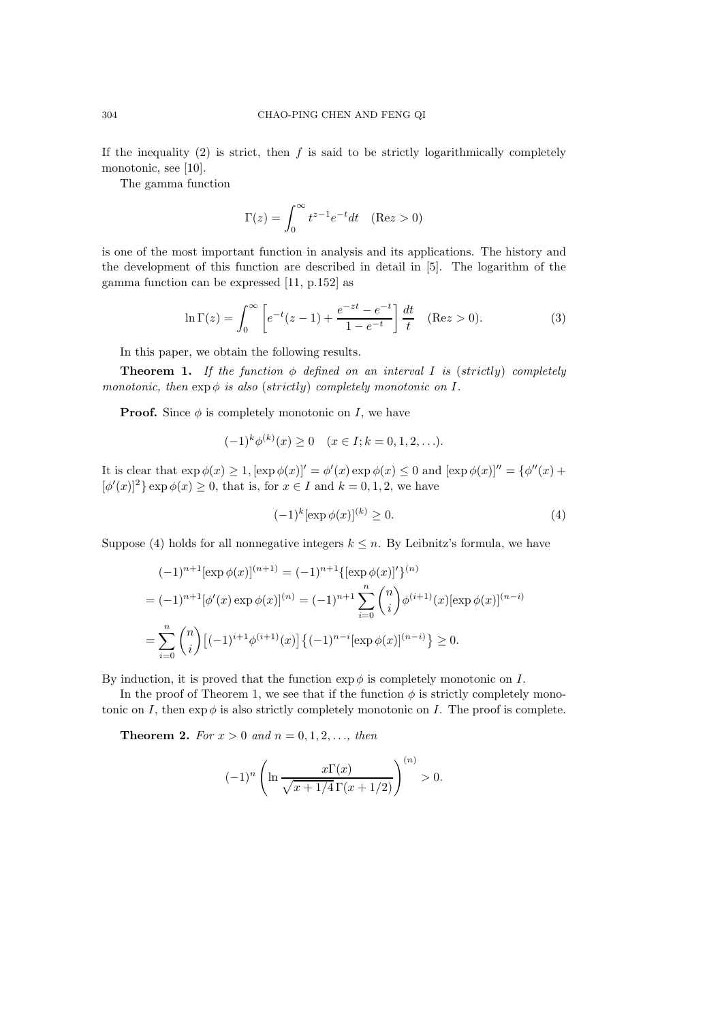If the inequality  $(2)$  is strict, then f is said to be strictly logarithmically completely monotonic, see [10].

The gamma function

$$
\Gamma(z) = \int_0^\infty t^{z-1} e^{-t} dt \quad (\text{Re} z > 0)
$$

is one of the most important function in analysis and its applications. The history and the development of this function are described in detail in [5]. The logarithm of the gamma function can be expressed [11, p.152] as

$$
\ln \Gamma(z) = \int_0^\infty \left[ e^{-t} (z - 1) + \frac{e^{-zt} - e^{-t}}{1 - e^{-t}} \right] \frac{dt}{t} \quad (\text{Re} z > 0). \tag{3}
$$

In this paper, we obtain the following results.

**Theorem 1.** If the function  $\phi$  defined on an interval I is (strictly) completely monotonic, then  $\exp \phi$  is also (strictly) completely monotonic on I.

**Proof.** Since  $\phi$  is completely monotonic on *I*, we have

$$
(-1)^{k} \phi^{(k)}(x) \ge 0 \quad (x \in I; k = 0, 1, 2, \ldots).
$$

It is clear that  $\exp \phi(x) \geq 1$ ,  $[\exp \phi(x)]' = \phi'(x) \exp \phi(x) \leq 0$  and  $[\exp \phi(x)]'' = {\phi''(x) + \phi(x)}'$  $\lbrack \phi'(x) \rbrack^2$  exp  $\phi(x) \ge 0$ , that is, for  $x \in I$  and  $k = 0, 1, 2$ , we have

$$
(-1)^k [\exp \phi(x)]^{(k)} \ge 0. \tag{4}
$$

Suppose (4) holds for all nonnegative integers  $k \leq n$ . By Leibnitz's formula, we have

$$
(-1)^{n+1} [\exp \phi(x)]^{(n+1)} = (-1)^{n+1} {\{\exp \phi(x)\}'}^{(n)}
$$
  
= 
$$
(-1)^{n+1} [\phi'(x) \exp \phi(x)]^{(n)} = (-1)^{n+1} \sum_{i=0}^{n} {n \choose i} \phi^{(i+1)}(x) [\exp \phi(x)]^{(n-i)}
$$
  
= 
$$
\sum_{i=0}^{n} {n \choose i} [(-1)^{i+1} \phi^{(i+1)}(x)] \{(-1)^{n-i} [\exp \phi(x)]^{(n-i)}\} \ge 0.
$$

By induction, it is proved that the function  $\exp \phi$  is completely monotonic on I.

In the proof of Theorem 1, we see that if the function  $\phi$  is strictly completely monotonic on I, then  $\exp \phi$  is also strictly completely monotonic on I. The proof is complete.

**Theorem 2.** For  $x > 0$  and  $n = 0, 1, 2, ...$ , then

$$
(-1)^n \left( \ln \frac{x \Gamma(x)}{\sqrt{x + 1/4} \Gamma(x + 1/2)} \right)^{(n)} > 0.
$$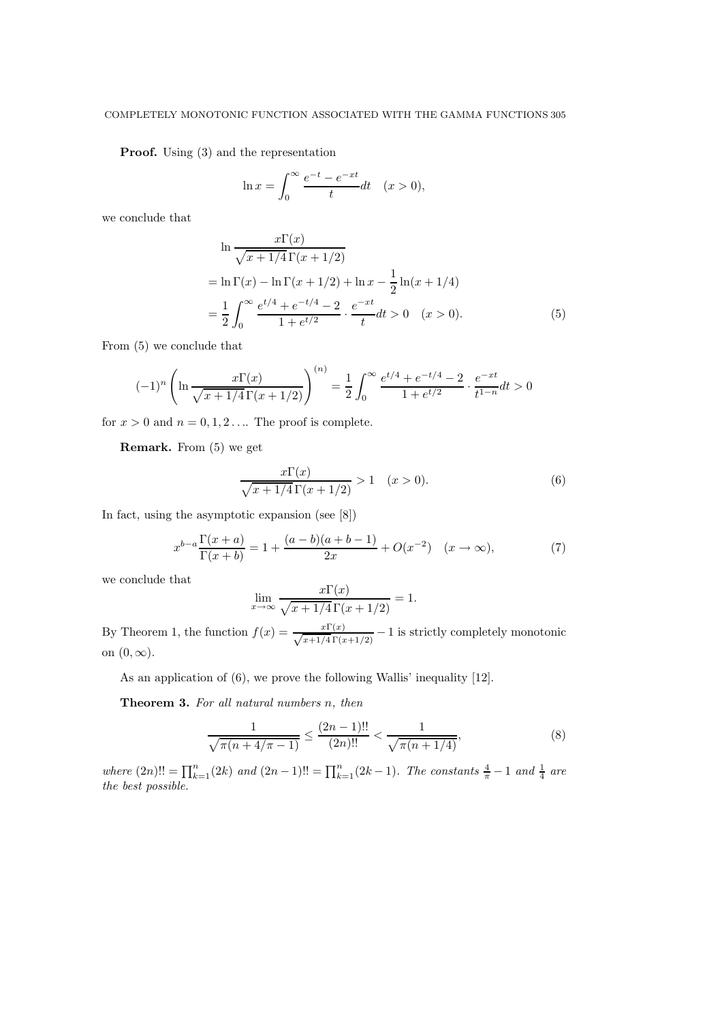## COMPLETELY MONOTONIC FUNCTION ASSOCIATED WITH THE GAMMA FUNCTIONS 305

Proof. Using (3) and the representation

$$
\ln x = \int_0^\infty \frac{e^{-t} - e^{-xt}}{t} dt \quad (x > 0),
$$

we conclude that

$$
\ln \frac{x\Gamma(x)}{\sqrt{x+1/4}\Gamma(x+1/2)}
$$
  
=  $\ln \Gamma(x) - \ln \Gamma(x+1/2) + \ln x - \frac{1}{2}\ln(x+1/4)$   
=  $\frac{1}{2} \int_0^\infty \frac{e^{t/4} + e^{-t/4} - 2}{1 + e^{t/2}} \cdot \frac{e^{-xt}}{t} dt > 0 \quad (x > 0).$  (5)

From (5) we conclude that

$$
(-1)^n \left( \ln \frac{x\Gamma(x)}{\sqrt{x+1/4}\Gamma(x+1/2)} \right)^{(n)} = \frac{1}{2} \int_0^\infty \frac{e^{t/4} + e^{-t/4} - 2}{1 + e^{t/2}} \cdot \frac{e^{-xt}}{t^{1-n}} dt > 0
$$

for  $x > 0$  and  $n = 0, 1, 2, \dots$  The proof is complete.

Remark. From (5) we get

$$
\frac{x\Gamma(x)}{\sqrt{x+1/4}\,\Gamma(x+1/2)} > 1 \quad (x > 0). \tag{6}
$$

In fact, using the asymptotic expansion (see [8])

$$
x^{b-a} \frac{\Gamma(x+a)}{\Gamma(x+b)} = 1 + \frac{(a-b)(a+b-1)}{2x} + O(x^{-2}) \quad (x \to \infty),
$$
 (7)

we conclude that

$$
\lim_{x \to \infty} \frac{x \Gamma(x)}{\sqrt{x + 1/4} \Gamma(x + 1/2)} = 1.
$$

By Theorem 1, the function  $f(x) = \frac{x\Gamma(x)}{\sqrt{x+1/4}\Gamma(x+1/2)} - 1$  is strictly completely monotonic on  $(0, \infty)$ .

As an application of  $(6)$ , we prove the following Wallis' inequality [12].

Theorem 3. For all natural numbers n, then

$$
\frac{1}{\sqrt{\pi(n+4/\pi-1)}} \le \frac{(2n-1)!!}{(2n)!!} < \frac{1}{\sqrt{\pi(n+1/4)}},\tag{8}
$$

where  $(2n)!! = \prod_{k=1}^{n} (2k)$  and  $(2n-1)!! = \prod_{k=1}^{n} (2k-1)$ . The constants  $\frac{4}{\pi} - 1$  and  $\frac{1}{4}$  are the best possible.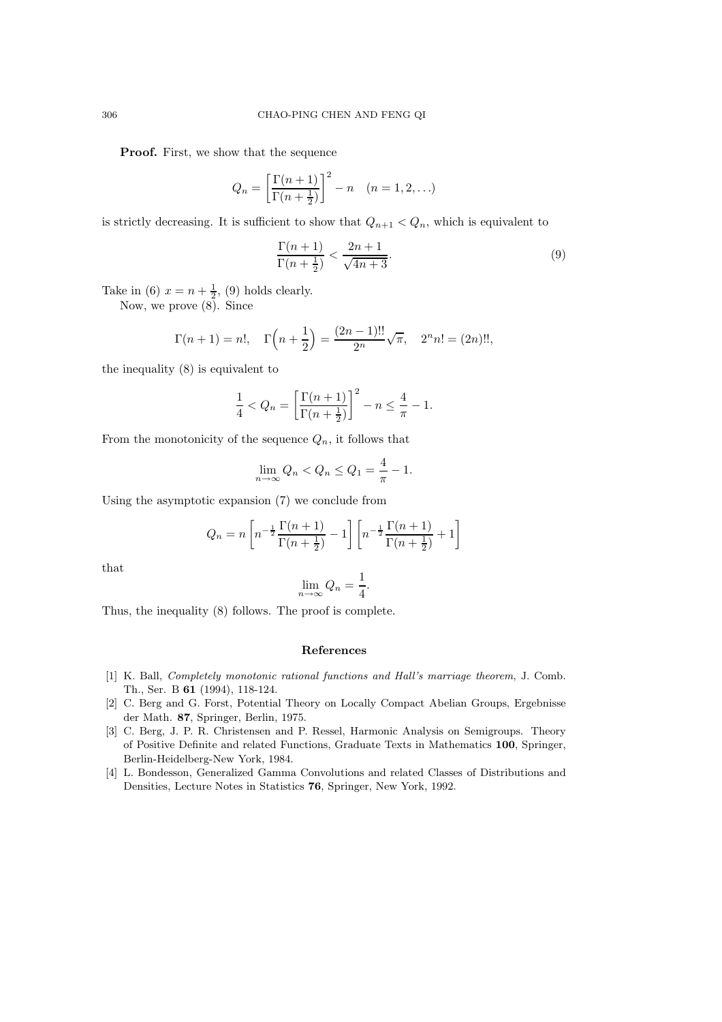Proof. First, we show that the sequence

$$
Q_n = \left[\frac{\Gamma(n+1)}{\Gamma(n+\frac{1}{2})}\right]^2 - n \quad (n = 1, 2, \ldots)
$$

is strictly decreasing. It is sufficient to show that  $Q_{n+1} < Q_n$ , which is equivalent to

$$
\frac{\Gamma(n+1)}{\Gamma(n+\frac{1}{2})} < \frac{2n+1}{\sqrt{4n+3}}.\tag{9}
$$

Take in (6)  $x = n + \frac{1}{2}$ , (9) holds clearly.

Now, we prove (8). Since

$$
\Gamma(n+1) = n!, \quad \Gamma\left(n + \frac{1}{2}\right) = \frac{(2n-1)!!}{2^n} \sqrt{\pi}, \quad 2^n n! = (2n)!!,
$$

the inequality (8) is equivalent to

$$
\frac{1}{4} < Q_n = \left[ \frac{\Gamma(n+1)}{\Gamma(n+\frac{1}{2})} \right]^2 - n \le \frac{4}{\pi} - 1.
$$

From the monotonicity of the sequence  $Q_n$ , it follows that

$$
\lim_{n \to \infty} Q_n < Q_n \le Q_1 = \frac{4}{\pi} - 1.
$$

Using the asymptotic expansion (7) we conclude from

$$
Q_n = n \left[ n^{-\frac{1}{2}} \frac{\Gamma(n+1)}{\Gamma(n+\frac{1}{2})} - 1 \right] \left[ n^{-\frac{1}{2}} \frac{\Gamma(n+1)}{\Gamma(n+\frac{1}{2})} + 1 \right]
$$

that

$$
\lim_{n \to \infty} Q_n = \frac{1}{4}.
$$

Thus, the inequality (8) follows. The proof is complete.

## References

- [1] K. Ball, Completely monotonic rational functions and Hall's marriage theorem, J. Comb. Th., Ser. B 61 (1994), 118-124.
- [2] C. Berg and G. Forst, Potential Theory on Locally Compact Abelian Groups, Ergebnisse der Math. 87, Springer, Berlin, 1975.
- [3] C. Berg, J. P. R. Christensen and P. Ressel, Harmonic Analysis on Semigroups. Theory of Positive Definite and related Functions, Graduate Texts in Mathematics 100, Springer, Berlin-Heidelberg-New York, 1984.
- [4] L. Bondesson, Generalized Gamma Convolutions and related Classes of Distributions and Densities, Lecture Notes in Statistics 76, Springer, New York, 1992.